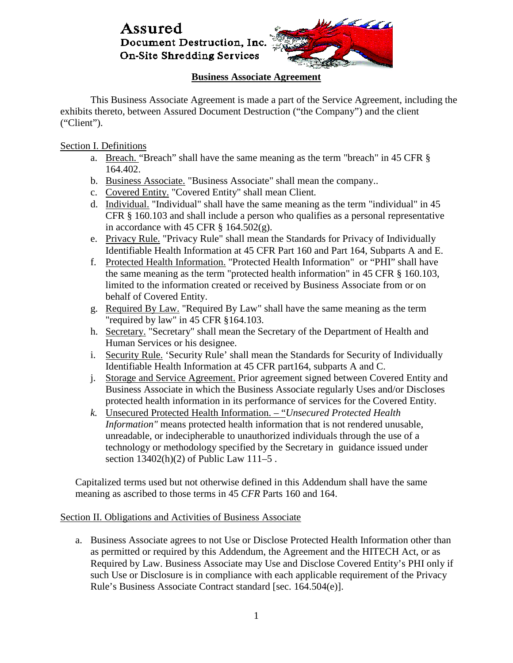

## **Business Associate Agreement**

This Business Associate Agreement is made a part of the Service Agreement, including the exhibits thereto, between Assured Document Destruction ("the Company") and the client ("Client").

Section I. Definitions

- a. Breach. "Breach" shall have the same meaning as the term "breach" in 45 CFR § 164.402.
- b. Business Associate. "Business Associate" shall mean the company..
- c. Covered Entity. "Covered Entity" shall mean Client*.*
- d. Individual. "Individual" shall have the same meaning as the term "individual" in 45 CFR § 160.103 and shall include a person who qualifies as a personal representative in accordance with 45 CFR  $\S$  164.502(g).
- e. Privacy Rule. "Privacy Rule" shall mean the Standards for Privacy of Individually Identifiable Health Information at 45 CFR Part 160 and Part 164, Subparts A and E.
- f. Protected Health Information. "Protected Health Information" or "PHI" shall have the same meaning as the term "protected health information" in 45 CFR § 160.103, limited to the information created or received by Business Associate from or on behalf of Covered Entity.
- g. Required By Law. "Required By Law" shall have the same meaning as the term "required by law" in 45 CFR §164.103.
- h. Secretary. "Secretary" shall mean the Secretary of the Department of Health and Human Services or his designee.
- i. Security Rule. 'Security Rule' shall mean the Standards for Security of Individually Identifiable Health Information at 45 CFR part164, subparts A and C.
- j. Storage and Service Agreement. Prior agreement signed between Covered Entity and Business Associate in which the Business Associate regularly Uses and/or Discloses protected health information in its performance of services for the Covered Entity.
- *k.* Unsecured Protected Health Information. "*Unsecured Protected Health Information"* means protected health information that is not rendered unusable, unreadable, or indecipherable to unauthorized individuals through the use of a technology or methodology specified by the Secretary in guidance issued under section 13402(h)(2) of Public Law 111–5 .

Capitalized terms used but not otherwise defined in this Addendum shall have the same meaning as ascribed to those terms in 45 *CFR* Parts 160 and 164.

### Section II. Obligations and Activities of Business Associate

a. Business Associate agrees to not Use or Disclose Protected Health Information other than as permitted or required by this Addendum, the Agreement and the HITECH Act, or as Required by Law. Business Associate may Use and Disclose Covered Entity's PHI only if such Use or Disclosure is in compliance with each applicable requirement of the Privacy Rule's Business Associate Contract standard [sec. 164.504(e)].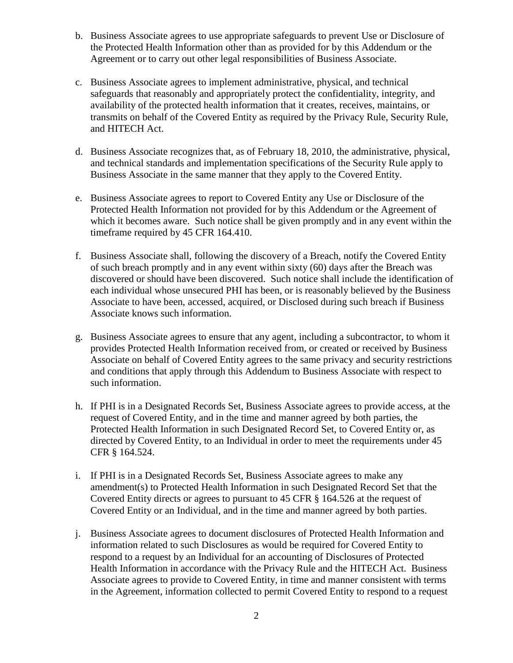- b. Business Associate agrees to use appropriate safeguards to prevent Use or Disclosure of the Protected Health Information other than as provided for by this Addendum or the Agreement or to carry out other legal responsibilities of Business Associate.
- c. Business Associate agrees to implement administrative, physical, and technical safeguards that reasonably and appropriately protect the confidentiality, integrity, and availability of the protected health information that it creates, receives, maintains, or transmits on behalf of the Covered Entity as required by the Privacy Rule, Security Rule, and HITECH Act.
- d. Business Associate recognizes that, as of February 18, 2010, the administrative, physical, and technical standards and implementation specifications of the Security Rule apply to Business Associate in the same manner that they apply to the Covered Entity.
- e. Business Associate agrees to report to Covered Entity any Use or Disclosure of the Protected Health Information not provided for by this Addendum or the Agreement of which it becomes aware. Such notice shall be given promptly and in any event within the timeframe required by 45 CFR 164.410.
- f. Business Associate shall, following the discovery of a Breach, notify the Covered Entity of such breach promptly and in any event within sixty (60) days after the Breach was discovered or should have been discovered. Such notice shall include the identification of each individual whose unsecured PHI has been, or is reasonably believed by the Business Associate to have been, accessed, acquired, or Disclosed during such breach if Business Associate knows such information.
- g. Business Associate agrees to ensure that any agent, including a subcontractor, to whom it provides Protected Health Information received from, or created or received by Business Associate on behalf of Covered Entity agrees to the same privacy and security restrictions and conditions that apply through this Addendum to Business Associate with respect to such information.
- h. If PHI is in a Designated Records Set, Business Associate agrees to provide access, at the request of Covered Entity, and in the time and manner agreed by both parties, the Protected Health Information in such Designated Record Set, to Covered Entity or, as directed by Covered Entity, to an Individual in order to meet the requirements under 45 CFR § 164.524.
- i. If PHI is in a Designated Records Set, Business Associate agrees to make any amendment(s) to Protected Health Information in such Designated Record Set that the Covered Entity directs or agrees to pursuant to 45 CFR § 164.526 at the request of Covered Entity or an Individual, and in the time and manner agreed by both parties.
- j. Business Associate agrees to document disclosures of Protected Health Information and information related to such Disclosures as would be required for Covered Entity to respond to a request by an Individual for an accounting of Disclosures of Protected Health Information in accordance with the Privacy Rule and the HITECH Act. Business Associate agrees to provide to Covered Entity, in time and manner consistent with terms in the Agreement, information collected to permit Covered Entity to respond to a request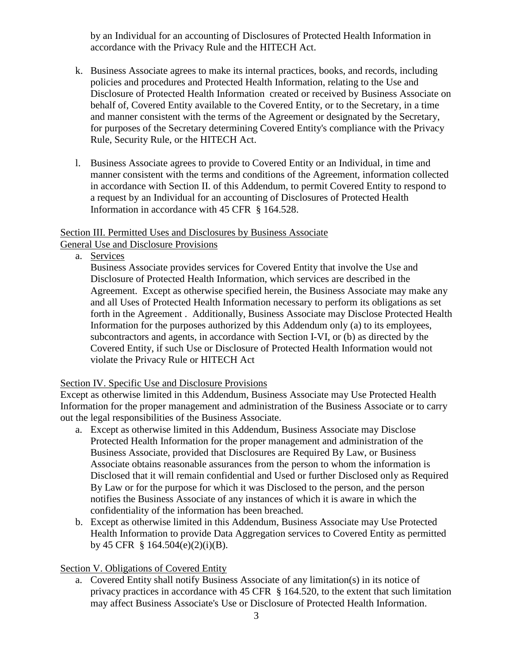by an Individual for an accounting of Disclosures of Protected Health Information in accordance with the Privacy Rule and the HITECH Act.

- k. Business Associate agrees to make its internal practices, books, and records, including policies and procedures and Protected Health Information, relating to the Use and Disclosure of Protected Health Information created or received by Business Associate on behalf of, Covered Entity available to the Covered Entity, or to the Secretary, in a time and manner consistent with the terms of the Agreement or designated by the Secretary, for purposes of the Secretary determining Covered Entity's compliance with the Privacy Rule, Security Rule, or the HITECH Act.
- l. Business Associate agrees to provide to Covered Entity or an Individual, in time and manner consistent with the terms and conditions of the Agreement, information collected in accordance with Section II. of this Addendum, to permit Covered Entity to respond to a request by an Individual for an accounting of Disclosures of Protected Health Information in accordance with 45 CFR § 164.528.

### Section III. Permitted Uses and Disclosures by Business Associate General Use and Disclosure Provisions

a. Services

Business Associate provides services for Covered Entity that involve the Use and Disclosure of Protected Health Information, which services are described in the Agreement. Except as otherwise specified herein, the Business Associate may make any and all Uses of Protected Health Information necessary to perform its obligations as set forth in the Agreement . Additionally, Business Associate may Disclose Protected Health Information for the purposes authorized by this Addendum only (a) to its employees, subcontractors and agents, in accordance with Section I-VI, or (b) as directed by the Covered Entity, if such Use or Disclosure of Protected Health Information would not violate the Privacy Rule or HITECH Act

### Section IV. Specific Use and Disclosure Provisions

Except as otherwise limited in this Addendum, Business Associate may Use Protected Health Information for the proper management and administration of the Business Associate or to carry out the legal responsibilities of the Business Associate.

- a. Except as otherwise limited in this Addendum, Business Associate may Disclose Protected Health Information for the proper management and administration of the Business Associate, provided that Disclosures are Required By Law, or Business Associate obtains reasonable assurances from the person to whom the information is Disclosed that it will remain confidential and Used or further Disclosed only as Required By Law or for the purpose for which it was Disclosed to the person, and the person notifies the Business Associate of any instances of which it is aware in which the confidentiality of the information has been breached.
- b. Except as otherwise limited in this Addendum, Business Associate may Use Protected Health Information to provide Data Aggregation services to Covered Entity as permitted by 45 CFR § 164.504(e)(2)(i)(B).

# Section V. Obligations of Covered Entity

a. Covered Entity shall notify Business Associate of any limitation(s) in its notice of privacy practices in accordance with 45 CFR § 164.520, to the extent that such limitation may affect Business Associate's Use or Disclosure of Protected Health Information.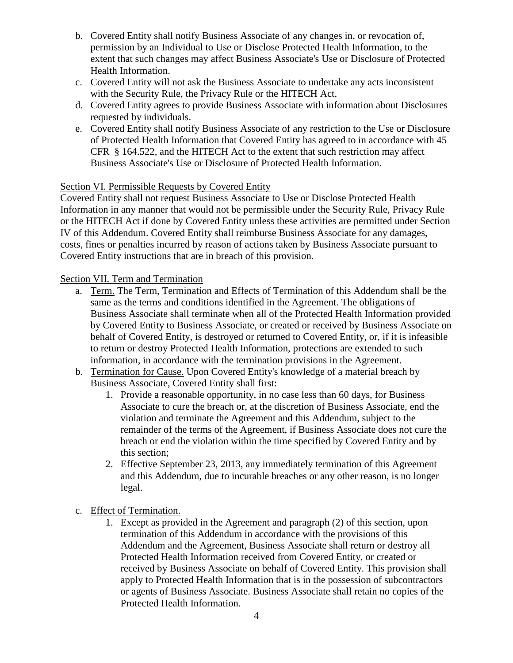- b. Covered Entity shall notify Business Associate of any changes in, or revocation of, permission by an Individual to Use or Disclose Protected Health Information, to the extent that such changes may affect Business Associate's Use or Disclosure of Protected Health Information.
- c. Covered Entity will not ask the Business Associate to undertake any acts inconsistent with the Security Rule, the Privacy Rule or the HITECH Act.
- d. Covered Entity agrees to provide Business Associate with information about Disclosures requested by individuals.
- e. Covered Entity shall notify Business Associate of any restriction to the Use or Disclosure of Protected Health Information that Covered Entity has agreed to in accordance with 45 CFR § 164.522, and the HITECH Act to the extent that such restriction may affect Business Associate's Use or Disclosure of Protected Health Information.

## Section VI. Permissible Requests by Covered Entity

Covered Entity shall not request Business Associate to Use or Disclose Protected Health Information in any manner that would not be permissible under the Security Rule, Privacy Rule or the HITECH Act if done by Covered Entity unless these activities are permitted under Section IV of this Addendum. Covered Entity shall reimburse Business Associate for any damages, costs, fines or penalties incurred by reason of actions taken by Business Associate pursuant to Covered Entity instructions that are in breach of this provision.

## Section VII. Term and Termination

- a. Term. The Term, Termination and Effects of Termination of this Addendum shall be the same as the terms and conditions identified in the Agreement. The obligations of Business Associate shall terminate when all of the Protected Health Information provided by Covered Entity to Business Associate, or created or received by Business Associate on behalf of Covered Entity, is destroyed or returned to Covered Entity, or, if it is infeasible to return or destroy Protected Health Information, protections are extended to such information, in accordance with the termination provisions in the Agreement.
- b. Termination for Cause. Upon Covered Entity's knowledge of a material breach by Business Associate, Covered Entity shall first:
	- 1. Provide a reasonable opportunity, in no case less than 60 days, for Business Associate to cure the breach or, at the discretion of Business Associate, end the violation and terminate the Agreement and this Addendum, subject to the remainder of the terms of the Agreement, if Business Associate does not cure the breach or end the violation within the time specified by Covered Entity and by this section;
	- 2. Effective September 23, 2013, any immediately termination of this Agreement and this Addendum, due to incurable breaches or any other reason, is no longer legal.
- c. Effect of Termination.
	- 1. Except as provided in the Agreement and paragraph (2) of this section, upon termination of this Addendum in accordance with the provisions of this Addendum and the Agreement, Business Associate shall return or destroy all Protected Health Information received from Covered Entity, or created or received by Business Associate on behalf of Covered Entity. This provision shall apply to Protected Health Information that is in the possession of subcontractors or agents of Business Associate. Business Associate shall retain no copies of the Protected Health Information.